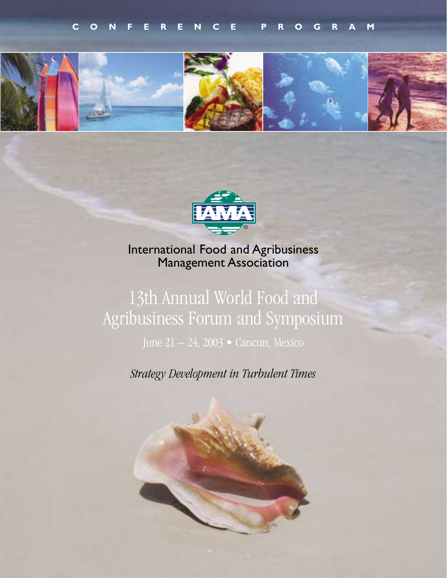



International Food and Agribusiness Management Association

# 13th Annual World Food and Agribusiness Forum and Symposium

June 21 – 24, 2003 • Cancun, Mexico

*Strategy Development in Turbulent Times*

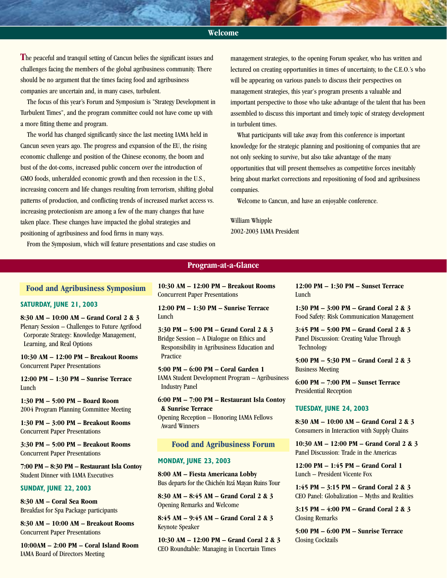# **Welcome**

**T**he peaceful and tranquil setting of Cancun belies the significant issues and challenges facing the members of the global agribusiness community. There should be no argument that the times facing food and agribusiness companies are uncertain and, in many cases, turbulent.

The focus of this year's Forum and Symposium is "Strategy Development in Turbulent Times", and the program committee could not have come up with a more fitting theme and program.

The world has changed significantly since the last meeting IAMA held in Cancun seven years ago. The progress and expansion of the EU, the rising economic challenge and position of the Chinese economy, the boom and bust of the dot-coms, increased public concern over the introduction of GMO foods, unheralded economic growth and then recession in the U.S., increasing concern and life changes resulting from terrorism, shifting global patterns of production, and conflicting trends of increased market access vs. increasing protectionism are among a few of the many changes that have taken place. These changes have impacted the global strategies and positioning of agribusiness and food firms in many ways.

From the Symposium, which will feature presentations and case studies on

management strategies, to the opening Forum speaker, who has written and lectured on creating opportunities in times of uncertainty, to the C.E.O.'s who will be appearing on various panels to discuss their perspectives on management strategies, this year's program presents a valuable and important perspective to those who take advantage of the talent that has been assembled to discuss this important and timely topic of strategy development in turbulent times.

What participants will take away from this conference is important knowledge for the strategic planning and positioning of companies that are not only seeking to survive, but also take advantage of the many opportunities that will present themselves as competitive forces inevitably bring about market corrections and repositioning of food and agribusiness companies.

Welcome to Cancun, and have an enjoyable conference.

# William Whipple 2002-2003 IAMA President

#### **Food and Agribusiness Symposium**

#### **SATURDAY, JUNE 21, 2003**

**8:30 AM – 10:00 AM – Grand Coral 2 & 3** Plenary Session – Challenges to Future Agrifood Corporate Strategy: Knowledge Management, Learning, and Real Options

**10:30 AM – 12:00 PM – Breakout Rooms** Concurrent Paper Presentations

**12:00 PM – 1:30 PM – Sunrise Terrace** Lunch

**1:30 PM – 5:00 PM – Board Room** 2004 Program Planning Committee Meeting

**1:30 PM – 3:00 PM – Breakout Rooms** Concurrent Paper Presentations

**3:30 PM – 5:00 PM – Breakout Rooms** Concurrent Paper Presentations

**7:00 PM – 8:30 PM – Restaurant Isla Contoy** Student Dinner with IAMA Executives

#### **SUNDAY, JUNE 22, 2003**

**8:30 AM – Coral Sea Room** Breakfast for Spa Package participants

**8:30 AM – 10:00 AM – Breakout Rooms** Concurrent Paper Presentations

**10:00AM – 2:00 PM – Coral Island Room** IAMA Board of Directors Meeting

**10:30 AM – 12:00 PM – Breakout Rooms** Concurrent Paper Presentations

**Program-at-a-Glance**

**12:00 PM – 1:30 PM – Sunrise Terrace** Lunch

**3:30 PM – 5:00 PM – Grand Coral 2 & 3** Bridge Session – A Dialogue on Ethics and Responsibility in Agribusiness Education and Practice

**5:00 PM – 6:00 PM – Coral Garden 1** IAMA Student Development Program – Agribusiness Industry Panel

**6:00 PM – 7:00 PM – Restaurant Isla Contoy & Sunrise Terrace**

Opening Reception – Honoring IAMA Fellows Award Winners

#### **Food and Agribusiness Forum**

#### **MONDAY, JUNE 23, 2003**

**8:00 AM – Fiesta Americana Lobby** Bus departs for the Chichén Itzá Mayan Ruins Tour

**8:30 AM – 8:45 AM – Grand Coral 2 & 3** Opening Remarks and Welcome

**8:45 AM – 9:45 AM – Grand Coral 2 & 3** Keynote Speaker

**10:30 AM – 12:00 PM – Grand Coral 2 & 3** CEO Roundtable: Managing in Uncertain Times

**12:00 PM – 1:30 PM – Sunset Terrace** Lunch

**1:30 PM – 3:00 PM – Grand Coral 2 & 3** Food Safety: Risk Communication Management

**3:45 PM – 5:00 PM – Grand Coral 2 & 3** Panel Discussion: Creating Value Through **Technology** 

**5:00 PM – 5:30 PM – Grand Coral 2 & 3** Business Meeting

**6:00 PM – 7:00 PM – Sunset Terrace** Presidential Reception

#### **TUESDAY, JUNE 24, 2003**

**8:30 AM – 10:00 AM – Grand Coral 2 & 3** Consumers in Interaction with Supply Chains

**10:30 AM – 12:00 PM – Grand Coral 2 & 3** Panel Discussion: Trade in the Americas

**12:00 PM – 1:45 PM – Grand Coral 1** Lunch – President Vicente Fox

**1:45 PM – 3:15 PM – Grand Coral 2 & 3**  CEO Panel: Globalization – Myths and Realities

**3:15 PM – 4:00 PM – Grand Coral 2 & 3**  Closing Remarks

**5:00 PM – 6:00 PM – Sunrise Terrace** Closing Cocktails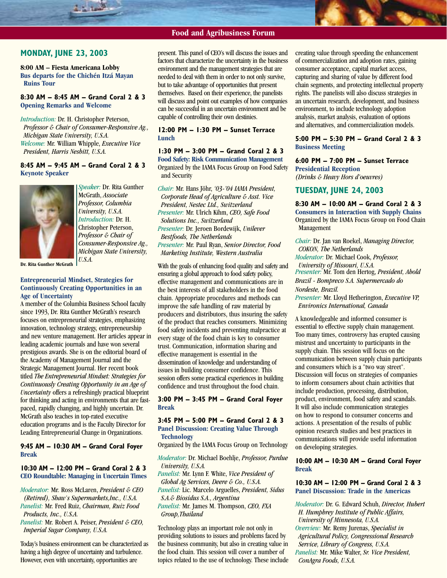#### **Food and Agribusiness Forum**

## **MONDAY, JUNE 23, 2003**

**8:00 AM – Fiesta Americana Lobby Bus departs for the Chichén Itzá Mayan Ruins Tour**

#### **8:30 AM – 8:45 AM – Grand Coral 2 & 3 Opening Remarks and Welcome**

*Introduction:* Dr. H. Christopher Peterson, *Professor & Chair of Consumer-Responsive Ag., Michigan State University, U.S.A. Welcome:* Mr. William Whipple, *Executive Vice President, Harris Nesbitt, U.S.A.*

# **8:45 AM – 9:45 AM – Grand Coral 2 & 3 Keynote Speaker**



*Speaker:* Dr. Rita Gunther McGrath, *Associate Professor, Columbia University, U.S.A. Introduction:* Dr. H. Christopher Peterson, *Professor & Chair of Consumer-Responsive Ag., Michigan State University, U.S.A.*

**Dr. Rita Gunther McGrath**

#### **Entrepreneurial Mindset, Strategies for Continuously Creating Opportunities in an Age of Uncertainty**

A member of the Columbia Business School faculty since 1993, Dr. Rita Gunther McGrath's research focuses on entrepreneurial strategies, emphasizing innovation, technology strategy, entrepreneurship and new venture management. Her articles appear in leading academic journals and have won several prestigious awards. She is on the editorial board of the Academy of Management Journal and the Strategic Management Journal. Her recent book titled *The Entrepreneurial Mindset: Strategies for Continuously Creating Opportunity in an Age of Uncertainty* offers a refreshingly practical blueprint for thinking and acting in environments that are fastpaced, rapidly changing, and highly uncertain. Dr. McGrath also teaches in top-rated executive education programs and is the Faculty Director for Leading Entrepreneurial Change in Organizations.

#### **9:45 AM – 10:30 AM – Grand Coral Foyer Break**

#### **10:30 AM – 12:00 PM – Grand Coral 2 & 3 CEO Roundtable: Managing in Uncertain Times**

*Moderator:* Mr. Ross McLaren, *President & CEO (Retired), Shaw's Supermarkets,Inc., U.S.A. Panelist:* Mr. Fred Ruiz, *Chairman, Ruiz Food Products, Inc., U.S.A.*

*Panelist:* Mr. Robert A. Peiser, *President & CEO, Imperial Sugar Company, U.S.A.*

Today's business environment can be characterized as having a high degree of uncertainty and turbulence. However, even with uncertainty, opportunities are

present. This panel of CEO's will discuss the issues and factors that characterize the uncertainty in the business environment and the management strategies that are needed to deal with them in order to not only survive, but to take advantage of opportunities that present themselves. Based on their experience, the panelists will discuss and point out examples of how companies can be successful in an uncertain environment and be capable of controlling their own destinies.

#### **12:00 PM – 1:30 PM – Sunset Terrace Lunch**

**1:30 PM – 3:00 PM – Grand Coral 2 & 3 Food Safety: Risk Communication Management** Organized by the IAMA Focus Group on Food Safety and Security

*Chair:* Mr. Hans Jöhr, *'03-'04 IAMA President, Corporate Head of Agriculture & Asst. Vice President, Nestec Ltd., Switzerland Presenter:* Mr. Ulrich Kihm, *CEO, Safe Food Solutions Inc., Switzerland Presenter:* Dr. Jeroen Bordewijk, *Unilever Bestfoods, The Netherlands Presenter:* Mr. Paul Ryan, *Senior Director, Food Marketing Institute, Western Australia*

With the goals of enhancing food quality and safety and ensuring a global approach to food safety policy, effective management and communications are in the best interests of all stakeholders in the food chain. Appropriate procedures and methods can improve the safe handling of raw material by producers and distributors, thus insuring the safety of the product that reaches consumers. Minimizing food safety incidents and preventing malpractice at every stage of the food chain is key to consumer trust. Communication, information sharing and effective management is essential in the dissemination of knowledge and understanding of issues in building consumer confidence. This session offers some practical experiences in building confidence and trust throughout the food chain.

**3:00 PM – 3:45 PM – Grand Coral Foyer Break**

#### **3:45 PM – 5:00 PM – Grand Coral 2 & 3 Panel Discussion: Creating Value Through Technology**

Organized by the IAMA Focus Group on Technology

*Moderator:* Dr. Michael Boehlje, *Professor, Purdue University, U.S.A.*

*Panelist:* Mr. Lynn F. White, *Vice President of Global Ag Services, Deere & Co., U.S.A. Panelist:* Lic. Marcelo Arguelles, *President, Sidus*

*S.A.& Biosidus S.A., Argentina*

*Panelist:* Mr. James M. Thompson, *CEO, FXA Group,Thailand*

Technology plays an important role not only in providing solutions to issues and problems faced by the business community, but also in creating value in the food chain. This session will cover a number of topics related to the use of technology. These include creating value through speeding the enhancement of commercialization and adoption rates, gaining consumer acceptance, capital market access, capturing and sharing of value by different food chain segments, and protecting intellectual property rights. The panelists will also discuss strategies in an uncertain research, development, and business environment, to include technology adoption analysis, market analysis, evaluation of options and alternatives, and commercialization models.

#### **5:00 PM – 5:30 PM – Grand Coral 2 & 3 Business Meeting**

**6:00 PM – 7:00 PM – Sunset Terrace Presidential Reception**

*(Drinks & Heavy Hors d'oeuvres)*

# **TUESDAY, JUNE 24, 2003**

**8:30 AM – 10:00 AM – Grand Coral 2 & 3 Consumers in Interaction with Supply Chains** Organized by the IAMA Focus Group on Food Chain Management

*Chair:* Dr. Jan van Roekel, *Managing Director, COKON, The Netherlands*

*Moderator:* Dr. Michael Cook, *Professor, University of Missouri, U.S.A. Presenter:* Mr. Tom den Hertog, *President, Ahold Brazil - Bompreco S.A. Supermercado do Nordeste, Brazil.*

*Presenter:* Mr. Lloyd Hetherington, *Executive VP, Environics International, Canada*

A knowledgeable and informed consumer is essential to effective supply chain management. Too many times, controversy has erupted causing mistrust and uncertainty to participants in the supply chain. This session will focus on the communication between supply chain participants and consumers which is a "two way street". Discussion will focus on strategies of companies to inform consumers about chain activities that include production, processing, distribution, product, environment, food safety and scandals. It will also include communication strategies on how to respond to consumer concerns and actions. A presentation of the results of public opinion research studies and best practices in communications will provide useful information on developing strategies.

#### **10:00 AM – 10:30 AM – Grand Coral Foyer Break**

#### **10:30 AM – 12:00 PM – Grand Coral 2 & 3 Panel Discussion: Trade in the Americas**

*Moderator:* Dr. G. Edward Schuh, *Director, Hubert H. Humphrey Institute of Public Affairs, University of Minnesota, U.S.A. Overview:* Mr. Remy Jurenas, *Specialist in Agricultural Policy, Congressional Research Service, Library of Congress, U.S.A. Panelist:* Mr. Mike Walter, *Sr. Vice President, ConAgra Foods, U.S.A.*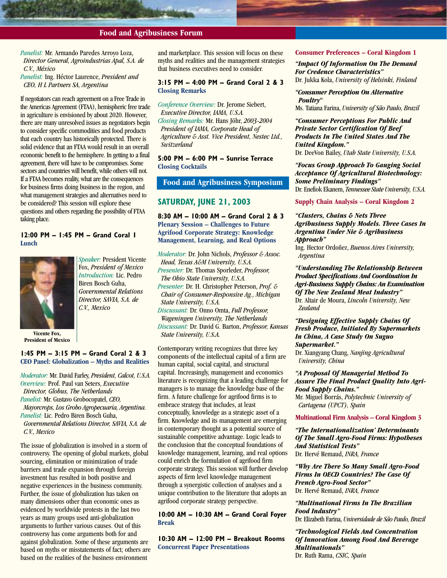# **Food and Agribusiness Forum**

*Panelist:* Mr. Armando Paredes Arroyo Loza, *Director General, Agroindustrias Apal, S.A. de C.V., México*

*Panelist:* Ing. Héctor Laurence, *President and CEO, H L Partners SA, Argentina*

If negotiators can reach agreement on a Free Trade in the Americas Agreement (FTAA), hemispheric free trade in agriculture is envisioned by about 2020. However, there are many unresolved issues as negotiators begin to consider specific commodities and food products that each country has historically protected. There is solid evidence that an FTAA would result in an overall economic benefit to the hemisphere. In getting to a final agreement, there will have to be compromises. Some sectors and countries will benefit, while others will not. If a FTAA becomes reality, what are the consequences for business firms doing business in the region, and what management strategies and alternatives need to be considered? This session will explore these questions and others regarding the possibility of FTAA taking place.

#### **12:00 PM – 1:45 PM – Grand Coral 1 Lunch**



Fox, *President of Mexico Introduction:* Lic. Pedro Biren Bosch Guha, *Governmental Relations Director, SAVIA, S.A. de C.V., Mexico*

*Speaker:* President Vicente

**Vicente Fox, President of Mexico**

# **1:45 PM – 3:15 PM – Grand Coral 2 & 3 CEO Panel: Globalization – Myths and Realities**

*Moderator:* Mr. David Farley, *President, Calcot, U.S.A. Overview:* Prof. Paul van Seters, *Executive Director, Globus, The Netherlands Panelist:* Mr. Gustavo Grobocopatel, *CEO, Mayorcrops, Los Grobo Agropecuaria, Argentina. Panelist:* Lic. Pedro Biren Bosch Guha, *Governmental Relations Director, SAVIA, S.A. de C.V., Mexico*

The issue of globalization is involved in a storm of controversy. The opening of global markets, global sourcing, elimination or minimization of trade barriers and trade expansion through foreign investment has resulted in both positive and negative experiences in the business community. Further, the issue of globalization has taken on many dimensions other than economic ones as evidenced by worldwide protests in the last two years as many groups used anti-globalization arguments to further various causes. Out of this controversy has come arguments both for and against globalization. Some of these arguments are based on myths or misstatements of fact; others are based on the realities of the business environment

and marketplace. This session will focus on these myths and realities and the management strategies that business executives need to consider.

#### **3:15 PM – 4:00 PM – Grand Coral 2 & 3 Closing Remarks**

*Conference Overview:* Dr. Jerome Siebert, *Executive Director, IAMA, U.S.A. Closing Remarks:* Mr. Hans Jöhr, *2003-2004 President of IAMA, Corporate Head of Agriculture & Asst. Vice President, Nestec Ltd., Switzerland*

**5:00 PM – 6:00 PM – Sunrise Terrace Closing Cocktails**

# **Food and Agribusiness Symposium**

# **SATURDAY, JUNE 21, 2003**

**8:30 AM – 10:00 AM – Grand Coral 2 & 3 Plenary Session – Challenges to Future Agrifood Corporate Strategy: Knowledge Management, Learning, and Real Options**

*Moderator:* Dr. John Nichols, *Professor & Assoc. Head, Texas A&M University, U.S.A. Presenter:* Dr. Thomas Sporleder, *Professor, The Ohio State University, U.S.A. Presenter:* Dr. H. Christopher Peterson, *Prof. & Chair of Consumer-Responsive Ag., Michigan State University, U.S.A. Discussant:* Dr. Onno Omta, *Full Professor, Wageningen University, The Netherlands Discussant:* Dr. David G. Barton, *Professor, Kansas State University, U.S.A.*

Contemporary writing recognizes that three key components of the intellectual capital of a firm are human capital, social capital, and structural capital. Increasingly, management and economics literature is recognizing that a leading challenge for managers is to manage the knowledge base of the firm. A future challenge for agrifood firms is to embrace strategy that includes, at least conceptually, knowledge as a strategic asset of a firm. Knowledge and its management are emerging in contemporary thought as a potential source of sustainable competitive advantage. Logic leads to the conclusion that the conceptual foundations of knowledge management, learning, and real options could enrich the formulation of agrifood firm corporate strategy. This session will further develop aspects of firm level knowledge management through a synergistic collection of analyses and a unique contribution to the literature that adopts an agrifood corporate strategy perspective.

**10:00 AM – 10:30 AM – Grand Coral Foyer Break**

**10:30 AM – 12:00 PM – Breakout Rooms Concurrent Paper Presentations**

#### **Consumer Preferences – Coral Kingdom 1**

*"Impact Of Information On The Demand For Credence Characteristics"* Dr. Jukka Kola, *University of Helsinki, Finland*

*"Consumer Perception On Alternative Poultry"*

Ms. Tatiana Farina, *University of São Paulo, Brazil*

*"Consumer Perceptions For Public And Private Sector Certification Of Beef Products In The United States And The United Kingdom."* Dr. DeeVon Bailey, *Utah State University, U.S.A.*

*"Focus Group Approach To Gauging Social Acceptance Of Agricultural Biotechnology: Some Preliminary Findings"* Dr. Enefiok Ekanem, *Tennessee State University, U.S.A.*

**Supply Chain Analysis – Coral Kingdom 2**

*"Clusters, Chains & Nets Three Agribusiness Supply Models. Three Cases In Argentina Under Nie & Agribusiness Approach"*

Ing. Hector Ordoñez, *Buenos Aires University, Argentina*

*"Understanding The Relationship Between Product Specifications And Coordination In Agri-Business Supply Chains: An Examination Of The New Zealand Meat Industry"* Dr. Altair de Moura, *Lincoln University, New Zealand*

*"Designing Effective Supply Chains Of Fresh Produce, Initiated By Supermarkets In China, A Case Study On Suguo Supermarket."*

Dr. Xiangyang Chang, *Nanjing Agricultural University, China*

*"A Proposal Of Managerial Method To Assure The Final Product Quality Into Agri-Food Supply Chains."*

Mr. Miguel Borrás, *Polytechnic University of Cartagena (UPCT), Spain*

**Multinational Firm Analysis – Coral Kingdom 3**

*"The Internationalization' Determinants Of The Small Agro-Food Firms: Hypotheses And Statistical Tests"* Dr. Hervé Remaud, *INRA, France*

*"Why Are There So Many Small Agro-Food Firms In OECD Countries? The Case Of French Agro-Food Sector"* Dr. Hervé Remaud, *INRA, France*

*"Multinational Firms In The Brazilian Food Industry"* Dr. Elizabeth Farina, *Universidade de São Paulo, Brazil*

*"Technological Fields And Concentration Of Innovation Among Food And Beverage Multinationals"* Dr. Ruth Rama, *CSIC, Spain*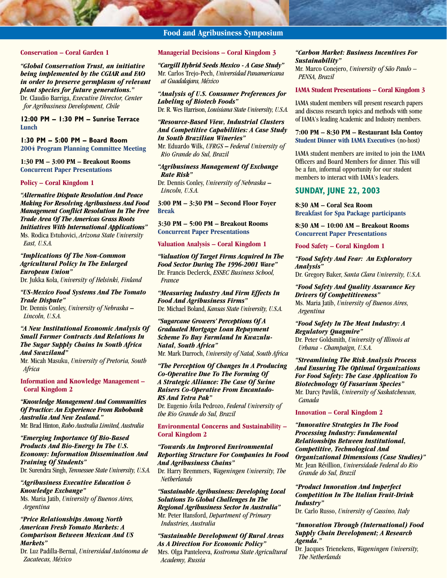# **Food and Agribusiness Symposium**

#### **Conservation – Coral Garden 1**

*"Global Conservation Trust, an initiative being implemented by the CGIAR and FAO in order to preserve germplasm of relevant plant species for future generations."* Dr. Claudio Barriga, *Executive Director, Center for Agribusiness Development, Chile*

**12:00 PM – 1:30 PM – Sunrise Terrace Lunch**

# **1:30 PM – 5:00 PM – Board Room 2004 Program Planning Committee Meeting**

**1:30 PM – 3:00 PM – Breakout Rooms Concurrent Paper Presentations**

#### **Policy – Coral Kingdom 1**

*"Alternative Dispute Resolution And Peace Making For Resolving Agribusiness And Food Management Conflict Resolution In The Free Trade Area Of The Americas Grass Roots Initiatives With International Applications"* Ms. Rodica Evtuhovici, *Arizona State University East, U.S.A.*

#### *"Implications Of The Non-Common Agricultural Policy In The Enlarged European Union"* Dr. Jukka Kola, *University of Helsinki, Finland*

#### *"US-Mexico Food Systems And The Tomato Trade Dispute"*

Dr. Dennis Conley, *University of Nebraska* **–** *Lincoln, U.S.A.*

#### *"A New Institutional Economic Analysis Of Small Farmer Contracts And Relations In The Sugar Supply Chains In South Africa And Swaziland"*

Mr. Micah Masuku, *University of Pretoria, South Africa*

**Information and Knowledge Management – Coral Kingdom 2**

# *"Knowledge Management And Communities Of Practice: An Experience From Rabobank Australia And New Zealand."*

Mr. Brad Hinton, *Rabo Australia Limited, Australia*

#### *"Emerging Importance Of Bio-Based Products And Bio-Energy In The U.S. Economy: Information Dissemination And Training Of Students"* Dr. Surendra Singh, *Tennessee State University, U.S.A.*

*"Agribusiness Executive Education &*

*Knowledge Exchange"* Ms. Maria Jatib, *University of Buenos Aires, Argentina*

#### *"Price Relationships Among North American Fresh Tomato Markets: A Comparison Between Mexican And US Markets"*

Dr. Luz Padilla-Bernal, *Universidad Autónoma de Zacatecas, México*

#### **Managerial Decisions – Coral Kingdom 3**

*"Cargill Hybrid Seeds Mexico - A Case Study"* Mr. Carlos Trejo-Pech, *Universidad Panamericana at Guadalajara, México*

*"Analysis of U.S. Consumer Preferences for Labeling of Biotech Foods"* Dr. R. Wes Harrison, *Louisiana State University, U.S.A.*

*"Resource-Based View, Industrial Clusters And Competitive Capabilities: A Case Study In South Brazilian Wineries"* Mr. Eduardo Wilk, *UFRGS* **–** *Federal University of Rio Grande do Sul, Brazil*

#### *"Agribusiness Management Of Exchange Rate Risk"*

Dr. Dennis Conley, *University of Nebraska* **–** *Lincoln, U.S.A.*

**3:00 PM – 3:30 PM – Second Floor Foyer Break**

**3:30 PM – 5:00 PM – Breakout Rooms Concurrent Paper Presentations**

#### **Valuation Analysis – Coral Kingdom 1**

*"Valuation Of Target Firms Acquired In The Food Sector During The 1996-2001 Wave"* Dr. Francis Declerck, *ESSEC Business School, France*

*"Measuring Industry And Firm Effects In Food And Agribusiness Firms"* Dr. Michael Boland, *Kansas State University, U.S.A.*

*"Sugarcane Growers' Perceptions Of A Graduated Mortgage Loan Repayment Scheme To Buy Farmland In Kwazulu-Natal, South Africa"*

Mr. Mark Darroch, *University of Natal, South Africa*

# *"The Perception Of Changes In A Producing Co-Operative Due To The Forming Of A Strategic Alliance: The Case Of Swine Raisers Co-Operative From Encantado-RS And Tetra Pak"*

Dr. Eugenio Ávila Pedrozo, *Federal University of the Rio Grande do Sul, Brazil*

#### **Environmental Concerns and Sustainability – Coral Kingdom 2**

#### *"Towards An Improved Environmental Reporting Structure For Companies In Food And Agribusiness Chains"*

Dr. Harry Bremmers, *Wageningen University, The Netherlands*

*"Sustainable Agribusiness: Developing Local Solutions To Global Challenges In The Regional Agribusiness Sector In Australia"* Mr. Peter Hansford, *Department of Primary Industries, Australia*

*"Sustainable Development Of Rural Areas As A Direction For Economic Policy"* Mrs. Olga Panteleeva, *Kostroma State Agricultural Academy, Russia*

#### *"Carbon Market: Business Incentives For Sustainability"*

Mr. Marco Conejero, *University of São Paulo – PENSA, Brazil*

#### **IAMA Student Presentations – Coral Kingdom 3**

IAMA student members will present research papers and discuss research topics and methods with some of IAMA's leading Academic and Industry members.

**7:00 PM – 8:30 PM – Restaurant Isla Contoy Student Dinner with IAMA Executives** (no-host)

IAMA student members are invited to join the IAMA Officers and Board Members for dinner. This will be a fun, informal opportunity for our student members to interact with IAMA's leaders.

#### **SUNDAY, JUNE 22, 2003**

**8:30 AM – Coral Sea Room Breakfast for Spa Package participants**

**8:30 AM – 10:00 AM – Breakout Rooms Concurrent Paper Presentations**

**Food Safety – Coral Kingdom 1**

#### *"Food Safety And Fear: An Exploratory Analysis"*

Dr. Gregory Baker, *Santa Clara University, U.S.A.*

#### *"Food Safety And Quality Assurance Key Drivers Of Competitiveness"* Ms. Maria Jatib, *University of Buenos Aires,*

*Argentina*

# *"Food Safety In The Meat Industry: A Regulatory Quagmire"*

Dr. Peter Goldsmith, *University of Illinois at Urbana - Champaign, U.S.A.*

*"Streamlining The Risk Analysis Process And Ensuring The Optimal Organizations For Food Safety: The Case Application To Biotechnology Of Fusarium Species"* Mr. Darcy Pawlik, *University of Saskatchewan, Canada*

#### **Innovation – Coral Kingdom 2**

*"Innovative Strategies In The Food Processing Industry: Fundamental Relationships Between Institutional, Competitive, Technological And Organizational Dimensions (Case Studies)"* Mr. Jean Révillion, *Universidade Federal do Rio Grande do Sul, Brazil*

*"Product Innovation And Imperfect Competition In The Italian Fruit-Drink Industry"*

Dr. Carlo Russo, *University of Cassino, Italy*

#### *"Innovation Through (International) Food Supply Chain Development; A Research Agenda."*

Dr. Jacques Trienekens, *Wageningen University, The Netherlands*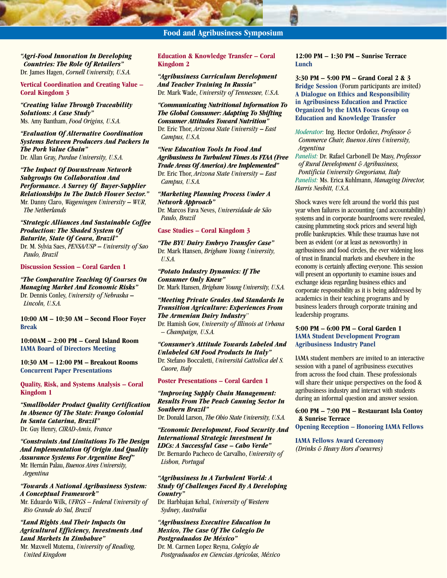*"Agri-Food Innovation In Developing Countries: The Role Of Retailers"* Dr. James Hagen, *Cornell University, U.S.A.*

#### **Vertical Coordination and Creating Value – Coral Kingdom 3**

*"Creating Value Through Traceability Solutions: A Case Study"* Ms. Amy Bantham, *Food Origins, U.S.A.*

*"Evaluation Of Alternative Coordination Systems Between Producers And Packers In The Pork Value Chain"* Dr. Allan Gray, *Purdue University, U.S.A.*

*"The Impact Of Downstream Network Subgroups On Collaboration And Performance. A Survey Of Buyer-Supplier Relationships In The Dutch Flower Sector."* Mr. Danny Claro, *Wageningen University* **–** *WUR, The Netherlands*

#### *"Strategic Alliances And Sustainable Coffee Production: The Shaded System Of Baturite, State Of Ceara, Brazil"* Dr. M. Sylvia Saes, *PENSA/USP* **–** *University of Sao Paulo, Brazil*

**Discussion Session – Coral Garden 1**

#### *"The Comparative Teaching Of Courses On Managing Market And Economic Risks"* Dr. Dennis Conley, *University of Nebraska* **–** *Lincoln, U.S.A.*

**10:00 AM – 10:30 AM – Second Floor Foyer Break**

**10:00AM – 2:00 PM – Coral Island Room IAMA Board of Directors Meeting**

**10:30 AM – 12:00 PM – Breakout Rooms Concurrent Paper Presentations**

**Quality, Risk, and Systems Analysis – Coral Kingdom 1**

*"Smallholder Product Quality Certification In Absence Of The State: Frango Colonial In Santa Catarina, Brazil"* Dr. Guy Henry, *CIRAD-Amis, France*

*"Constraints And Limitations To The Design And Implementation Of Origin And Quality Assurance Systems For Argentine Beef"* Mr. Hernán Palau, *Buenos Aires University, Argentina*

#### *"Towards A National Agribusiness System: A Conceptual Framework"*

Mr. Eduardo Wilk, *UFRGS – Federal University of Rio Grande do Sul, Brazil*

#### *"Land Rights And Their Impacts On Agricultural Efficiency, Investments And Land Markets In Zimbabwe"*

Mr. Maxwell Mutema, *University of Reading, United Kingdom*

# **Education & Knowledge Transfer – Coral Kingdom 2**

*"Agribusiness Curriculum Development And Teacher Training In Russia"* Dr. Mark Wade, *University of Tennessee, U.S.A.*

# *"Communicating Nutritional Information To The Global Consumer: Adapting To Shifting Consumer Attitudes Toward Nutrition"*

Dr. Eric Thor, *Arizona State University* **–** *East Campus, U.S.A.*

*"New Education Tools In Food And Agribusiness In Turbulent Times As FTAA (Free Trade Areas Of America) Are Implemented"* Dr. Eric Thor, *Arizona State University* **–** *East Campus, U.S.A.*

#### *"Marketing Planning Process Under A Network Approach"* Dr. Marcos Fava Neves, *Universidade de São*

*Paulo, Brazil*

#### **Case Studies – Coral Kingdom 3**

*"The BYU Dairy Embryo Transfer Case"* Dr. Mark Hansen, *Brigham Young University, U.S.A.*

#### *"Potato Industry Dynamics: If The Consumer Only Knew"* Dr. Mark Hansen, *Brigham Young University, U.S.A.*

#### *"Meeting Private Grades And Standards In Transition Agriculture: Experiences From The Armenian Dairy Industry*"

Dr. Hamish Gow, *University of Illinois at Urbana – Champaign, U.S.A.*

*"Consumer's Attitude Towards Labeled And Unlabeled GM Food Products In Italy"* Dr. Stefano Boccaletti, *Universitá Cattolica del S. Cuore, Italy*

**Poster Presentations – Coral Garden 1**

*"Improving Supply Chain Management: Results From The Peach Canning Sector In Southern Brazil"*

Dr. Donald Larson, *The Ohio State University, U.S.A.*

*"Economic Development, Food Security And International Strategic Investment In LDCs: A Successful Case – Cabo Verde"* Dr. Bernardo Pacheco de Carvalho, *University of Lisbon, Portugal*

#### *"Agribusiness In A Turbulent World: A Study Of Challenges Faced By A Developing Country"*

Dr. Harbhajan Kehal, *University of Western Sydney, Australia*

# *"Agribusiness Executive Education In Mexico, The Case Of The Colegio De Postgraduados De México"*

Dr. M. Carmen Lopez Reyna, *Colegio de Postgraduados en Ciencias Agricolas, México*

#### **12:00 PM – 1:30 PM – Sunrise Terrace Lunch**

**3:30 PM – 5:00 PM – Grand Coral 2 & 3 Bridge Session** (Forum participants are invited) **A Dialogue on Ethics and Responsibility in Agribusiness Education and Practice Organized by the IAMA Focus Group on Education and Knowledge Transfer**

*Moderator:* Ing. Hector Ordoñez, *Professor & Commerce Chair, Buenos Aires University, Argentina*

*Panelist:* Dr. Rafael Carbonell De Masy, *Professor of Rural Development & Agribusiness, Pontificia University Gregoriana, Italy Panelist:* Ms. Erica Kuhlmann, *Managing Director, Harris Nesbitt, U.S.A.*

Shock waves were felt around the world this past year when failures in accounting (and accountability) systems and in corporate boardrooms were revealed, causing plummeting stock prices and several high profile bankruptcies. While these traumas have not been as evident (or at least as newsworthy) in agribusiness and food circles, the ever widening loss of trust in financial markets and elsewhere in the economy is certainly affecting everyone. This session will present an opportunity to examine issues and exchange ideas regarding business ethics and corporate responsibility as it is being addressed by academics in their teaching programs and by business leaders through corporate training and leadership programs.

#### **5:00 PM – 6:00 PM – Coral Garden 1 IAMA Student Development Program Agribusiness Industry Panel**

IAMA student members are invited to an interactive session with a panel of agribusiness executives from across the food chain. These professionals will share their unique perspectives on the food & agribusiness industry and interact with students during an informal question and answer session.

**6:00 PM – 7:00 PM – Restaurant Isla Contoy & Sunrise Terrace Opening Reception – Honoring IAMA Fellows**

**IAMA Fellows Award Ceremony** *(Drinks & Heavy Hors d'oeuvres)*

# **Food and Agribusiness Symposium**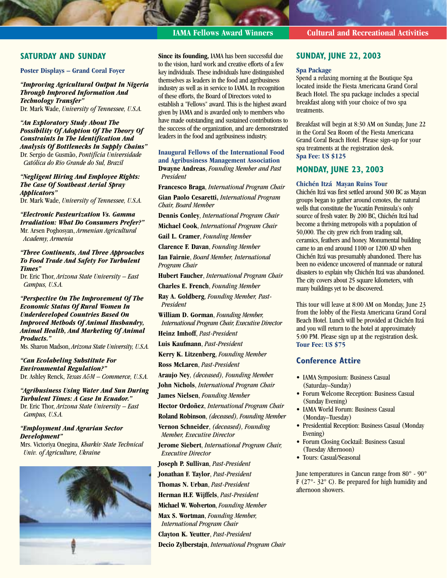# **SATURDAY AND SUNDAY**

#### **Poster Displays – Grand Coral Foyer**

*"Improving Agricultural Output In Nigeria Through Improved Information And Technology Transfer"*

Dr. Mark Wade, *University of Tennessee, U.S.A.*

#### *"An Exploratory Study About The Possibility Of Adoption Of The Theory Of Constraints In The Identification And Analysis Of Bottlenecks In Supply Chains"* Dr. Sergio de Gusmão, *Pontifícia Universidade*

*Católica do Rio Grande do Sul, Brazil*

#### *"Negligent Hiring And Employee Rights: The Case Of Southeast Aerial Spray Applicators"* Dr. Mark Wade, *University of Tennessee, U.S.A.*

*"Electronic Pasteurization Vs. Gamma Irradiation: What Do Consumers Prefer?"* Mr. Arsen Poghosyan, *Armenian Agricultural Academy, Armenia*

#### *"Three Continents, And Three Approaches To Food Trade And Safety For Turbulent Times"*

Dr. Eric Thor, *Arizona State University – East Campus, U.S.A.*

#### *"Perspective On The Improvement Of The Economic Status Of Rural Women In Underdeveloped Countries Based On Improved Methods Of Animal Husbandry, Animal Health, And Marketing Of Animal Products."*

Ms. Sharon Madson, *Arizona State University, U.S.A.*

*"Can Ecolabeling Substitute For Environmental Regulation?"* Dr. Ashley Renck, *Texas A&M – Commerce, U.S.A.*

*"Agribusiness Using Water And Sun During Turbulent Times: A Case In Ecuador."* Dr. Eric Thor, *Arizona State University – East Campus, U.S.A.*

#### *"Employment And Agrarian Sector Development"*

Mrs. Victoriya Onegina, *Kharkiv State Technical Univ. of Agriculture, Ukraine*



**Since its founding,** IAMA has been successful due to the vision, hard work and creative efforts of a few key individuals. These individuals have distinguished themselves as leaders in the food and agribusiness industry as well as in service to IAMA. In recognition of these efforts, the Board of Directors voted to establish a "Fellows" award. This is the highest award given by IAMA and is awarded only to members who have made outstanding and sustained contributions to the success of the organization, and are demonstrated leaders in the food and agribusiness industry.

**Inaugural Fellows of the International Food and Agribusiness Management Association Dwayne Andreas**, *Founding Member and Past President*

**Francesco Braga**, *International Program Chair* **Gian Paolo Cesaretti,** *International Program Chair, Board Member*

**Dennis Conley**, *International Program Chair*

**Michael Cook**, *International Program Chair*

**Gail L. Cramer**, *Founding Member*

**Clarence F. Davan**, *Founding Member*

**Ian Fairnie**, *Board Member, International Program Chair*

**Hubert Faucher**, *International Program Chair*

**Charles E. French**, *Founding Member*

**Ray A. Goldberg**, *Founding Member, Past-President*

**William D. Gorman**, *Founding Member, International Program Chair, Executive Director*

**Heinz Imhoff**, *Past-President*

**Luis Kaufmann**, *Past-President*

**Kerry K. Litzenberg**, *Founding Member*

**Ross McLaren**, *Past-President*

**Araujo Ney**, *(deceased), Founding Membe*r

**John Nichols**, *International Program Chair*

**James Nielsen**, *Founding Member*

**Hector Ordoñez**, *International Program Chair*

**Roland Robinson**, *(deceased), Founding Member*

**Vernon Schneider**, *(deceased), Founding Member, Executive Director*

**Jerome Siebert**, *International Program Chair, Executive Director*

**Joseph P. Sullivan**, *Past-President*

**Jonathan F. Taylor**, *Past-President*

**Thomas N. Urban**, *Past-President*

**Herman H.F. Wijffels**, *Past-President*

**Michael W. Wolverton**, *Founding Member*

**Max S. Wortman**, *Founding Member, International Program Chair* **Clayton K. Yeutter**, *Past-President* **Decio Zylberstajn**, *International Program Chair*

# **IAMA Fellows Award Winners Cultural and Recreational Activities**

# **SUNDAY, JUNE 22, 2003**

#### **Spa Package**

Spend a relaxing morning at the Boutique Spa located inside the Fiesta Americana Grand Coral Beach Hotel. The spa package includes a special breakfast along with your choice of two spa treatments.

Breakfast will begin at 8:30 AM on Sunday, June 22 in the Coral Sea Room of the Fiesta Americana Grand Coral Beach Hotel. Please sign-up for your spa treatments at the registration desk. **Spa Fee: US \$125**

#### **MONDAY, JUNE 23, 2003**

#### **Chichén Itzá Mayan Ruins Tou**r

Chichén Itzá was first settled around 300 BC as Mayan groups began to gather around cenotes, the natural wells that constitute the Yucatán Peninsula's only source of fresh water. By 200 BC, Chichén Itzá had become a thriving metropolis with a population of 50,000. The city grew rich from trading salt, ceramics, feathers and honey. Monumental building came to an end around 1100 or 1200 AD when Chichén Itzá was presumably abandoned. There has been no evidence uncovered of manmade or natural disasters to explain why Chichén Itzá was abandoned. The city covers about 25 square kilometers, with many buildings yet to be discovered.

This tour will leave at 8:00 AM on Monday, June 23 from the lobby of the Fiesta Americana Grand Coral Beach Hotel. Lunch will be provided at Chichén Itzá and you will return to the hotel at approximately 5:00 PM. Please sign up at the registration desk. **Tour Fee: US \$75**

# **Conference Attire**

- IAMA Symposium: Business Casual (Saturday–Sunday)
- Forum Welcome Reception: Business Casual (Sunday Evening)
- IAMA World Forum: Business Casual (Monday–Tuesday)
- Presidential Reception: Business Casual (Monday Evening)
- Forum Closing Cocktail: Business Casual (Tuesday Afternoon)
- Tours: Casual/Seasonal

June temperatures in Cancun range from 80° - 90° F ( $27^\circ$ -  $32^\circ$  C). Be prepared for high humidity and afternoon showers.